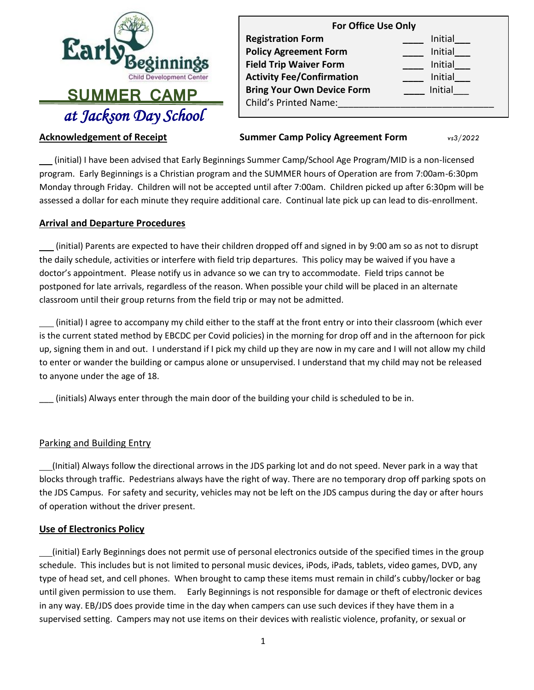

| <b>For Office Use Only</b>        |         |  |
|-----------------------------------|---------|--|
| <b>Registration Form</b>          | Initial |  |
| <b>Policy Agreement Form</b>      | Initial |  |
| <b>Field Trip Waiver Form</b>     | Initial |  |
| <b>Activity Fee/Confirmation</b>  | Initial |  |
| <b>Bring Your Own Device Form</b> | Initial |  |
| <b>Child's Printed Name:</b>      |         |  |
|                                   |         |  |

### **Acknowledgement of Receipt**

**Summer Camp Policy Agreement Form**  $vs3/2022$ 

 (initial) I have been advised that Early Beginnings Summer Camp/School Age Program/MID is a non-licensed program. Early Beginnings is a Christian program and the SUMMER hours of Operation are from 7:00am-6:30pm Monday through Friday. Children will not be accepted until after 7:00am. Children picked up after 6:30pm will be assessed a dollar for each minute they require additional care. Continual late pick up can lead to dis-enrollment.

#### **Arrival and Departure Procedures**

 (initial) Parents are expected to have their children dropped off and signed in by 9:00 am so as not to disrupt the daily schedule, activities or interfere with field trip departures. This policy may be waived if you have a doctor's appointment. Please notify us in advance so we can try to accommodate. Field trips cannot be postponed for late arrivals, regardless of the reason. When possible your child will be placed in an alternate classroom until their group returns from the field trip or may not be admitted.

 (initial) I agree to accompany my child either to the staff at the front entry or into their classroom (which ever is the current stated method by EBCDC per Covid policies) in the morning for drop off and in the afternoon for pick up, signing them in and out. I understand if I pick my child up they are now in my care and I will not allow my child to enter or wander the building or campus alone or unsupervised. I understand that my child may not be released to anyone under the age of 18.

\_\_\_ (initials) Always enter through the main door of the building your child is scheduled to be in.

### Parking and Building Entry

 (Initial) Always follow the directional arrows in the JDS parking lot and do not speed. Never park in a way that blocks through traffic. Pedestrians always have the right of way. There are no temporary drop off parking spots on the JDS Campus. For safety and security, vehicles may not be left on the JDS campus during the day or after hours of operation without the driver present.

### **Use of Electronics Policy**

 (initial) Early Beginnings does not permit use of personal electronics outside of the specified times in the group schedule. This includes but is not limited to personal music devices, iPods, iPads, tablets, video games, DVD, any type of head set, and cell phones. When brought to camp these items must remain in child's cubby/locker or bag until given permission to use them. Early Beginnings is not responsible for damage or theft of electronic devices in any way. EB/JDS does provide time in the day when campers can use such devices if they have them in a supervised setting. Campers may not use items on their devices with realistic violence, profanity, or sexual or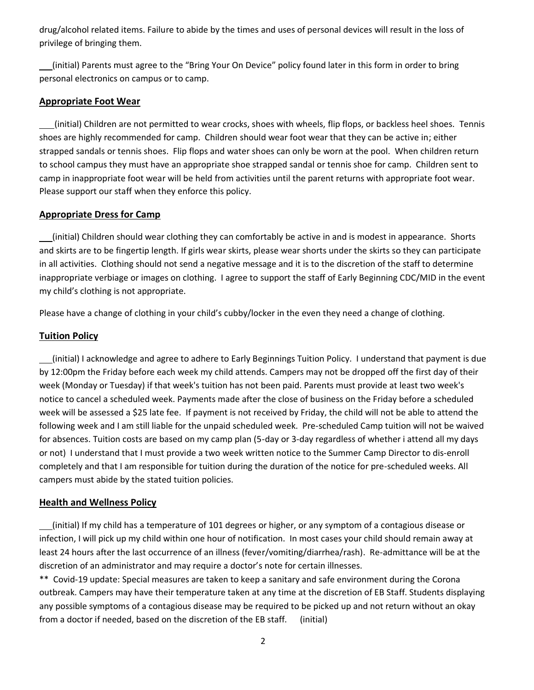drug/alcohol related items. Failure to abide by the times and uses of personal devices will result in the loss of privilege of bringing them.

 (initial) Parents must agree to the "Bring Your On Device" policy found later in this form in order to bring personal electronics on campus or to camp.

### **Appropriate Foot Wear**

 (initial) Children are not permitted to wear crocks, shoes with wheels, flip flops, or backless heel shoes. Tennis shoes are highly recommended for camp. Children should wear foot wear that they can be active in; either strapped sandals or tennis shoes. Flip flops and water shoes can only be worn at the pool. When children return to school campus they must have an appropriate shoe strapped sandal or tennis shoe for camp. Children sent to camp in inappropriate foot wear will be held from activities until the parent returns with appropriate foot wear. Please support our staff when they enforce this policy.

## **Appropriate Dress for Camp**

 (initial) Children should wear clothing they can comfortably be active in and is modest in appearance. Shorts and skirts are to be fingertip length. If girls wear skirts, please wear shorts under the skirts so they can participate in all activities. Clothing should not send a negative message and it is to the discretion of the staff to determine inappropriate verbiage or images on clothing. I agree to support the staff of Early Beginning CDC/MID in the event my child's clothing is not appropriate.

Please have a change of clothing in your child's cubby/locker in the even they need a change of clothing.

## **Tuition Policy**

 (initial) I acknowledge and agree to adhere to Early Beginnings Tuition Policy. I understand that payment is due by 12:00pm the Friday before each week my child attends. Campers may not be dropped off the first day of their week (Monday or Tuesday) if that week's tuition has not been paid. Parents must provide at least two week's notice to cancel a scheduled week. Payments made after the close of business on the Friday before a scheduled week will be assessed a \$25 late fee. If payment is not received by Friday, the child will not be able to attend the following week and I am still liable for the unpaid scheduled week. Pre-scheduled Camp tuition will not be waived for absences. Tuition costs are based on my camp plan (5-day or 3-day regardless of whether i attend all my days or not) I understand that I must provide a two week written notice to the Summer Camp Director to dis-enroll completely and that I am responsible for tuition during the duration of the notice for pre-scheduled weeks. All campers must abide by the stated tuition policies.

# **Health and Wellness Policy**

 (initial) If my child has a temperature of 101 degrees or higher, or any symptom of a contagious disease or infection, I will pick up my child within one hour of notification. In most cases your child should remain away at least 24 hours after the last occurrence of an illness (fever/vomiting/diarrhea/rash). Re-admittance will be at the discretion of an administrator and may require a doctor's note for certain illnesses.

\*\* Covid-19 update: Special measures are taken to keep a sanitary and safe environment during the Corona outbreak. Campers may have their temperature taken at any time at the discretion of EB Staff. Students displaying any possible symptoms of a contagious disease may be required to be picked up and not return without an okay from a doctor if needed, based on the discretion of the EB staff. (initial)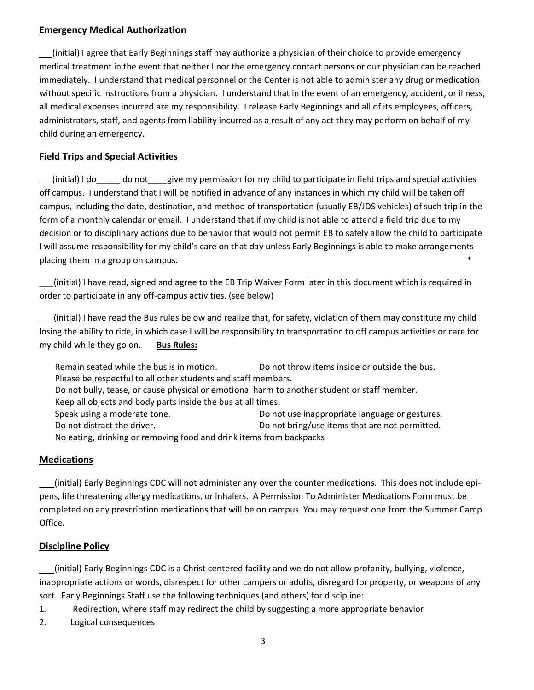#### **Emergency Medical Authorization**

 (initial) I agree that Early Beginnings staff may authorize a physician of their choice to provide emergency medical treatment in the event that neither I nor the emergency contact persons or our physician can be reached immediately. I understand that medical personnel or the Center is not able to administer any drug or medication without specific instructions from a physician. I understand that in the event of an emergency, accident, or illness, all medical expenses incurred are my responsibility. I release Early Beginnings and all of its employees, officers, administrators, staff, and agents from liability incurred as a result of any act they may perform on behalf of my child during an emergency.

## **Field Trips and Special Activities**

 (initial) I do\_\_\_\_\_ do not\_\_\_\_give my permission for my child to participate in field trips and special activities off campus. I understand that I will be notified in advance of any instances in which my child will be taken off campus, including the date, destination, and method of transportation (usually EB/JDS vehicles) of such trip in the form of a monthly calendar or email. I understand that if my child is not able to attend a field trip due to my decision or to disciplinary actions due to behavior that would not permit EB to safely allow the child to participate I will assume responsibility for my child's care on that day unless Early Beginnings is able to make arrangements placing them in a group on campus.  $*$ 

\_\_\_(initial) I have read, signed and agree to the EB Trip Waiver Form later in this document which is required in order to participate in any off-campus activities. (see below)

\_\_\_(initial) I have read the Bus rules below and realize that, for safety, violation of them may constitute my child losing the ability to ride, in which case I will be responsibility to transportation to off campus activities or care for my child while they go on. **Bus Rules:**

Remain seated while the bus is in motion. Do not throw items inside or outside the bus. Please be respectful to all other students and staff members. Do not bully, tease, or cause physical or emotional harm to another student or staff member. Keep all objects and body parts inside the bus at all times. Speak using a moderate tone.  $\Box$  Do not use inappropriate language or gestures. Do not distract the driver. The controller controller the driver. Do not bring/use items that are not permitted. No eating, drinking or removing food and drink items from backpacks

### **Medications**

 (initial) Early Beginnings CDC will not administer any over the counter medications. This does not include epipens, life threatening allergy medications, or inhalers. A Permission To Administer Medications Form must be completed on any prescription medications that will be on campus. You may request one from the Summer Camp Office.

### **Discipline Policy**

 (initial) Early Beginnings CDC is a Christ centered facility and we do not allow profanity, bullying, violence, inappropriate actions or words, disrespect for other campers or adults, disregard for property, or weapons of any sort. Early Beginnings Staff use the following techniques (and others) for discipline:

1. Redirection, where staff may redirect the child by suggesting a more appropriate behavior

2. Logical consequences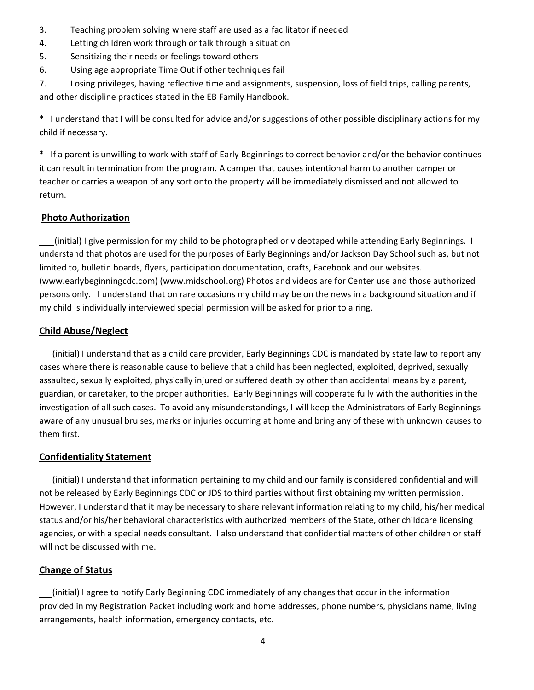- 3. Teaching problem solving where staff are used as a facilitator if needed
- 4. Letting children work through or talk through a situation
- 5. Sensitizing their needs or feelings toward others
- 6. Using age appropriate Time Out if other techniques fail

7. Losing privileges, having reflective time and assignments, suspension, loss of field trips, calling parents, and other discipline practices stated in the EB Family Handbook.

\* I understand that I will be consulted for advice and/or suggestions of other possible disciplinary actions for my child if necessary.

\* If a parent is unwilling to work with staff of Early Beginnings to correct behavior and/or the behavior continues it can result in termination from the program. A camper that causes intentional harm to another camper or teacher or carries a weapon of any sort onto the property will be immediately dismissed and not allowed to return.

### **Photo Authorization**

 (initial) I give permission for my child to be photographed or videotaped while attending Early Beginnings. I understand that photos are used for the purposes of Early Beginnings and/or Jackson Day School such as, but not limited to, bulletin boards, flyers, participation documentation, crafts, Facebook and our websites. (www.earlybeginningcdc.com) (www.midschool.org) Photos and videos are for Center use and those authorized persons only. I understand that on rare occasions my child may be on the news in a background situation and if my child is individually interviewed special permission will be asked for prior to airing.

## **Child Abuse/Neglect**

(initial) I understand that as a child care provider, Early Beginnings CDC is mandated by state law to report any cases where there is reasonable cause to believe that a child has been neglected, exploited, deprived, sexually assaulted, sexually exploited, physically injured or suffered death by other than accidental means by a parent, guardian, or caretaker, to the proper authorities. Early Beginnings will cooperate fully with the authorities in the investigation of all such cases. To avoid any misunderstandings, I will keep the Administrators of Early Beginnings aware of any unusual bruises, marks or injuries occurring at home and bring any of these with unknown causes to them first.

### **Confidentiality Statement**

 (initial) I understand that information pertaining to my child and our family is considered confidential and will not be released by Early Beginnings CDC or JDS to third parties without first obtaining my written permission. However, I understand that it may be necessary to share relevant information relating to my child, his/her medical status and/or his/her behavioral characteristics with authorized members of the State, other childcare licensing agencies, or with a special needs consultant. I also understand that confidential matters of other children or staff will not be discussed with me.

### **Change of Status**

 (initial) I agree to notify Early Beginning CDC immediately of any changes that occur in the information provided in my Registration Packet including work and home addresses, phone numbers, physicians name, living arrangements, health information, emergency contacts, etc.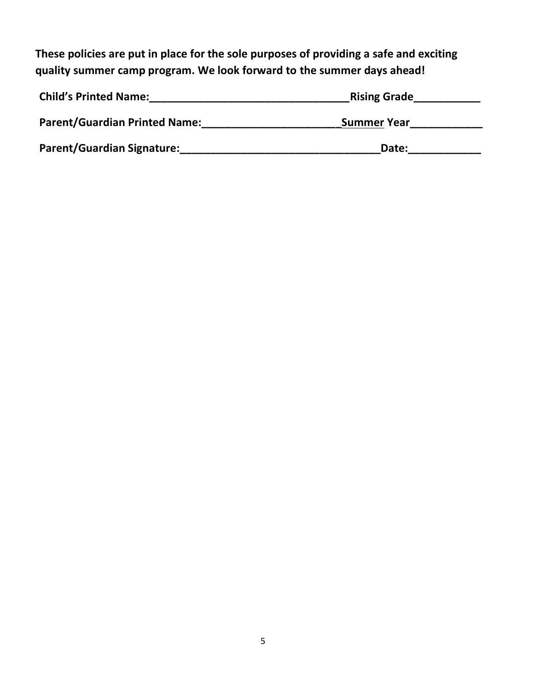**These policies are put in place for the sole purposes of providing a safe and exciting quality summer camp program. We look forward to the summer days ahead!** 

| <b>Child's Printed Name:</b>         | <b>Rising Grade</b> |
|--------------------------------------|---------------------|
| <b>Parent/Guardian Printed Name:</b> | <b>Summer Year</b>  |
| <b>Parent/Guardian Signature:</b>    | Date:               |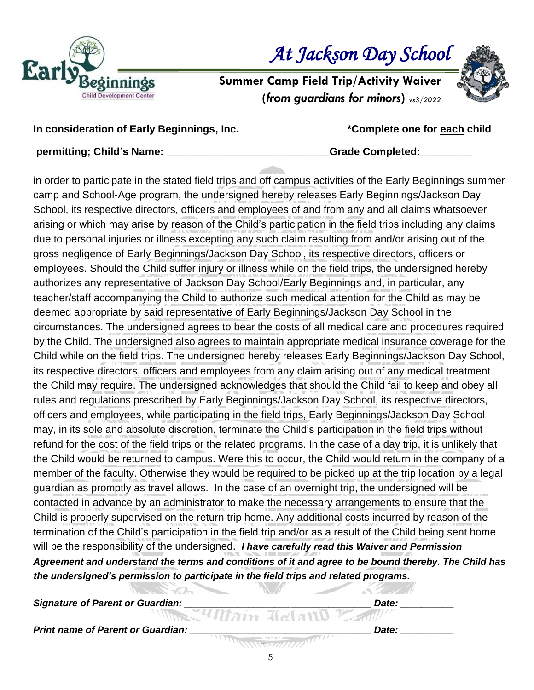

 *At Jackson Day School* 

**Summer Camp Field Trip/Activity Waiver (***from guardians for minors***)** *vs3/2022*



**In consideration of Early Beginnings, Inc. \*Complete one for each child**

**permitting; Child's Name: \_\_\_\_\_\_\_\_\_\_\_\_\_\_\_\_\_\_\_\_\_\_\_\_\_\_\_\_Grade Completed:\_\_\_\_\_\_\_\_\_**

in order to participate in the stated field trips and off campus activities of the Early Beginnings summer camp and School-Age program, the undersigned hereby releases Early Beginnings/Jackson Day School, its respective directors, officers and employees of and from any and all claims whatsoever arising or which may arise by reason of the Child's participation in the field trips including any claims due to personal injuries or illness excepting any such claim resulting from and/or arising out of the gross negligence of Early Beginnings/Jackson Day School, its respective directors, officers or employees. Should the Child suffer injury or illness while on the field trips, the undersigned hereby authorizes any representative of Jackson Day School/Early Beginnings and, in particular, any teacher/staff accompanying the Child to authorize such medical attention for the Child as may be deemed appropriate by said representative of Early Beginnings/Jackson Day School in the circumstances. The undersigned agrees to bear the costs of all medical care and procedures required by the Child. The undersigned also agrees to maintain appropriate medical insurance coverage for the Child while on the field trips. The undersigned hereby releases Early Beginnings/Jackson Day School, its respective directors, officers and employees from any claim arising out of any medical treatment the Child may require. The undersigned acknowledges that should the Child fail to keep and obey all rules and regulations prescribed by Early Beginnings/Jackson Day School, its respective directors, officers and employees, while participating in the field trips, Early Beginnings/Jackson Day School may, in its sole and absolute discretion, terminate the Child's participation in the field trips without refund for the cost of the field trips or the related programs. In the case of a day trip, it is unlikely that the Child would be returned to campus. Were this to occur, the Child would return in the company of a member of the faculty. Otherwise they would be required to be picked up at the trip location by a legal guardian as promptly as travel allows. In the case of an overnight trip, the undersigned will be contacted in advance by an administrator to make the necessary arrangements to ensure that the Child is properly supervised on the return trip home. Any additional costs incurred by reason of the termination of the Child's participation in the field trip and/or as a result of the Child being sent home will be the responsibility of the undersigned. *I have carefully read this Waiver and Permission Agreement and understand the terms and conditions of it and agree to be bound thereby. The Child has the undersigned's permission to participate in the field trips and related programs.*

**CONTRACTOR** *Signature of Parent or Guardian: \_\_\_\_\_\_\_\_\_\_\_\_\_\_\_\_\_\_\_\_\_\_\_\_\_\_\_\_\_\_\_\_\_\_\_ Date: \_\_\_\_\_\_\_\_\_\_* Print name of Parent or Guardian: **Prince 2008 Date: Date: Date: Prince 2008**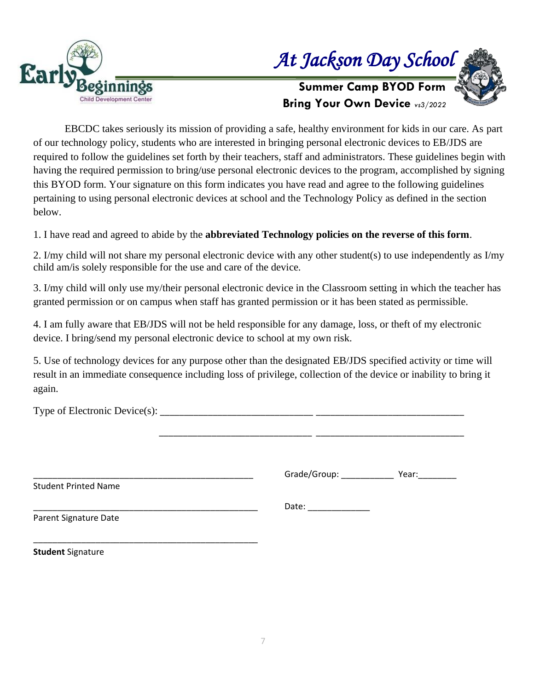



**Summer Camp BYOD Form Bring Your Own Device** *vs3/2022*

EBCDC takes seriously its mission of providing a safe, healthy environment for kids in our care. As part of our technology policy, students who are interested in bringing personal electronic devices to EB/JDS are required to follow the guidelines set forth by their teachers, staff and administrators. These guidelines begin with having the required permission to bring/use personal electronic devices to the program, accomplished by signing this BYOD form. Your signature on this form indicates you have read and agree to the following guidelines pertaining to using personal electronic devices at school and the Technology Policy as defined in the section below.

1. I have read and agreed to abide by the **abbreviated Technology policies on the reverse of this form**.

2. I/my child will not share my personal electronic device with any other student(s) to use independently as I/my child am/is solely responsible for the use and care of the device.

3. I/my child will only use my/their personal electronic device in the Classroom setting in which the teacher has granted permission or on campus when staff has granted permission or it has been stated as permissible.

4. I am fully aware that EB/JDS will not be held responsible for any damage, loss, or theft of my electronic device. I bring/send my personal electronic device to school at my own risk.

5. Use of technology devices for any purpose other than the designated EB/JDS specified activity or time will result in an immediate consequence including loss of privilege, collection of the device or inability to bring it again.

Type of Electronic Device(s): \_\_\_\_\_\_\_\_\_\_\_\_\_\_\_\_\_\_\_\_\_\_\_\_\_\_\_\_\_\_\_\_ \_\_\_\_\_\_\_\_\_\_\_\_\_\_\_\_\_\_\_\_\_\_\_\_\_\_\_\_\_\_\_ \_\_\_\_\_\_\_\_\_\_\_\_\_\_\_\_\_\_\_\_\_\_\_\_\_\_\_\_\_\_\_\_ \_\_\_\_\_\_\_\_\_\_\_\_\_\_\_\_\_\_\_\_\_\_\_\_\_\_\_\_\_\_\_ Grade/Group: \_\_\_\_\_\_\_\_\_\_\_\_\_\_\_\_\_ Year: \_\_\_\_\_\_ Student Printed Name \_\_\_\_\_\_\_\_\_\_\_\_\_\_\_\_\_\_\_\_\_\_\_\_\_\_\_\_\_\_\_\_\_\_\_\_\_\_\_\_\_\_\_\_\_\_\_ Date: \_\_\_\_\_\_\_\_\_\_\_\_\_ Parent Signature Date \_\_\_\_\_\_\_\_\_\_\_\_\_\_\_\_\_\_\_\_\_\_\_\_\_\_\_\_\_\_\_\_\_\_\_\_\_\_\_\_\_\_\_\_\_\_\_

**Student** Signature